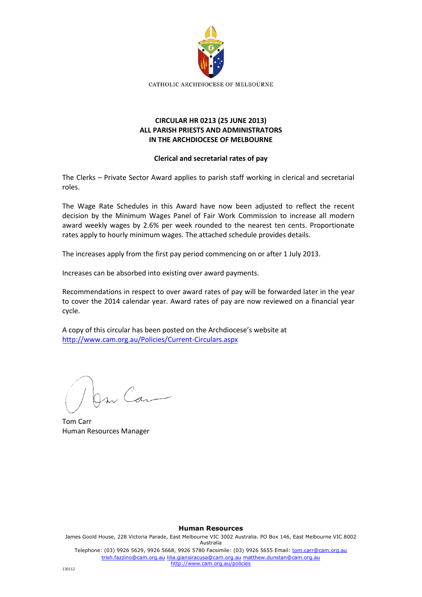

## **CIRCULAR HR 0213 (25 JUNE 2013) ALL PARISH PRIESTS AND ADMINISTRATORS IN THE ARCHDIOCESE OF MELBOURNE**

## **Clerical and secretarial rates of pay**

The Clerks – Private Sector Award applies to parish staff working in clerical and secretarial roles.

The Wage Rate Schedules in this Award have now been adjusted to reflect the recent decision by the Minimum Wages Panel of Fair Work Commission to increase all modern award weekly wages by 2.6% per week rounded to the nearest ten cents. Proportionate rates apply to hourly minimum wages. The attached schedule provides details.

The increases apply from the first pay period commencing on or after 1 July 2013.

Increases can be absorbed into existing over award payments.

Recommendations in respect to over award rates of pay will be forwarded later in the year to cover the 2014 calendar year. Award rates of pay are now reviewed on a financial year cycle.

A copy of this circular has been posted on the Archdiocese's website at <http://www.cam.org.au/Policies/Current-Circulars.aspx>

m Can

Tom Carr Human Resources Manager

**Human Resources** James Goold House, 228 Victoria Parade, East Melbourne VIC 3002 Australia. PO Box 146, East Melbourne VIC 8002 Australia Telephone: (03) 9926 5629, 9926 5668, 9926 5780 Facsimile: (03) 9926 5655 Email: tom.carr@cam.org.au trish.fazzino@cam.org.au lilia.giansiracusa@cam.org.au matthew.dunstan@cam.org.au http://www.cam.org.au/policies